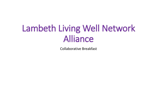# Lambeth Living Well Network Alliance

Collaborative Breakfast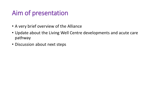# Aim of presentation

- A very brief overview of the Alliance
- Update about the Living Well Centre developments and acute care pathway
- Discussion about next steps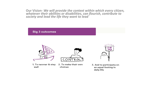**Our Vision-** *We will provide the context within which every citizen, whatever their abilities or disabilities, can flourish, contribute to society and lead the life they want to lead*

#### **Big 3 outcomes**



- 1. To recover & stay well
- 2. To make their own choices



3. And to participate on an equal footing in daily life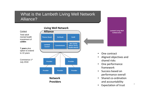#### What is the Lambeth Living Well Network Alliance?



# **Lambeth Living Well Collaborative**

- One contract
- Aligned objectives and shared risks
- One performance framework
- Success based on performance overall
- Shared co-ordination and accountability
- Expectation of trust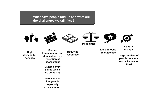**What have people told us and what are the challenges we still face?**









**Inequalities**





**High demand for services**

**Service fragmentation and duplication, e.g. repetition of assessment**

> **Multiple entry points which are confusing**

**Services not integratedespecially crisis support**

**Reducing resources** **Lack of focus on outcomes**

**Culture change**

**Large number of people on acute wards known to SLaM**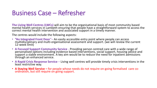# Business Case – Refresher

**The Living Well Centres (LWCs)** will aim to be the organisational basis of most community based mental health services in Lambeth ensuring that people have a straightforward system to access the correct mental health intervention and associated support in a timely manner.

The centres would include the following aspects:

- **"An Integrated Front Door**"– An easily accessible entry point where people can access multidisciplinary and multi-organisational assessment and support. (we will review the current 12-week limit)
- **A Focused Support Community Service**  Providing person centred care with a wide range of personalised options including evidence based interventions, social support, housing advice and support a stable environment. A key aim would be to reduce the need for inpatient admissions through an enhanced service.
- **A Rapid Crisis Response Service**  Living well centres will provide timely crisis interventions in the least restrictive way.
- **A Staying Well Service –** for people whose needs do not require on-going formalised care coordination, but still require on going support.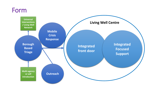## Form

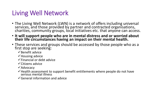# Living Well Network

- The Living Well Network (LWN) is a network of offers including universal services, and those provided by partner and contracted organisations, charities, community groups, local initiatives etc. that anyone can access.
- **It will support people who are in mental distress and or worried about their life circumstances having an impact on their mental health.**
- These services and groups should be accessed by those people who as a first stop are seeking:
	- $\checkmark$  Benefit advice
	- $\checkmark$  Housing advice
	- $\checkmark$  Financial or debt advice
	- $\checkmark$  Citizens advice
	- $\sqrt{\lambda}$ dvocacy
	- $\checkmark$  Health assessment to support benefit entitlements where people do not have serious mental illness
	- $\checkmark$  General information and advice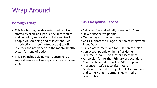# Wrap Around

#### **Borough Triage**

- This is a borough wide centralized service, staffed by clinicians, peers, social care staff and voluntary sector staff, that can direct people via screening and assessment (via introduction and self-introduction) to offers in either the network or to the mental health system's menu of options.
- This can include Living Well Centre, crisis support services of safe space, crisis response unit.

#### **Crisis Response Service**

- 7 day service and initially open until 10pm
- New or not active people
- On the day crisis assessment
- Crisis support the Triage function of Integrated Front Door
- Skilled assessment and formulation of a plan
- Can accept people on behalf of Home Treatment Team – no further assessment
- Agree plan for further Primary or Secondary Care involvement or back to GP with plan
- Presence in safe space after hours
- Medically covered through Front Door medics and some Home Treatment Team medic contribution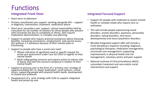# Functions

#### **Integrated Front Door**

- Short-term re-ablement
- Primary care/shared care support: working alongside GPs support in diagnosis, intervention, treatment, medication advice
- Short term 'secondary care' support- clinical responsibility held by consultant for set number of sessions for those people who present with increased risk due to complexity or illness, who require medication administration, or complex care planning.
- Support to people who require practical assistance/ advice (housing, benefits, increasing connections, employment) and cannot access this without 1:1 assistance because of their mental state or functioning
- Support to people who have a social care need:
	- $\checkmark$  Where indication of significant need or specific request for social care assessment under Care Act 2014 in regards to their mental health
	- $\checkmark$  Adult safeguarding concerns and require action to reduce risks of abuse and look into concerns (enquiry) in relation to their mental health
- Support to primary care in the form of a 'primary care' strategy of capacity building GPs re: depot medication, recall systems, virtual clinics, supporting people with physical health needs, development of shared care protocols
- Development of a joint strategy with LCNs to support integrated health and joined up care

#### **Integrated Focused Support**

- Support for people with moderate to severe mental health or complex needs who require care coordination
- This will include people experiencing mood disorders, anxiety disorders, psychosis, personality disorders, eating disorders, and neurodevelopmental and neuro-psychiatric disorders
- Blended integrated support offer will include a multi-disciplinary response including: diagnosis; psychological therapies; medication management; structured case management; supporting improvements in physical health and risk management, voluntary sector and peer support
- National Institute of Clinical Excellence (NICE) concordant treatment and care and/or social interventions and support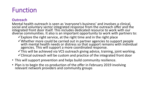# Function

#### **Outreach**

Mental health outreach is seen as 'everyone's business' and involves a clinical, social and voluntary sector integrated response from the outreach offer and the integrated front door itself. This includes dedicated resource to work with our diverse communities. It also is an important opportunity to work with partners to:

 $\checkmark$  Explore the right service, at the right time and in the right place

 $\checkmark$  Whether more could be carried out in partner agencies to support people with mental health needs or distress so that support remains with individual agencies. This will support a more coordinated response.

 $\checkmark$ This will be achieved via VCS outreach giving advice, training, joint working.  $\checkmark$  Clinical outreach will be custom and practice of the integrated front door

- This will support prevention and helps build community resilience.
- Plan is to begin the co-production of the offer in February 2019 involving relevant network providers and community groups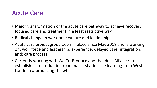### Acute Care

- Major transformation of the acute care pathway to achieve recovery focused care and treatment in a least restrictive way.
- Radical change in workforce culture and leadership
- Acute care project group been in place since May 2018 and is working on: workforce and leadership; experience; delayed care; integration, and; care process
- Currently working with We Co-Produce and the Ideas Alliance to establish a co-production road map – sharing the learning from West London co-producing the what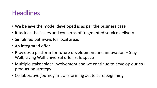# **Headlines**

- We believe the model developed is as per the business case
- It tackles the issues and concerns of fragmented service delivery
- Simplified pathways for local areas
- An integrated offer
- Provides a platform for future development and innovation Stay Well, Living Well universal offer, safe space
- Multiple stakeholder involvement and we continue to develop our coproduction strategy
- Collaborative journey in transforming acute care beginning